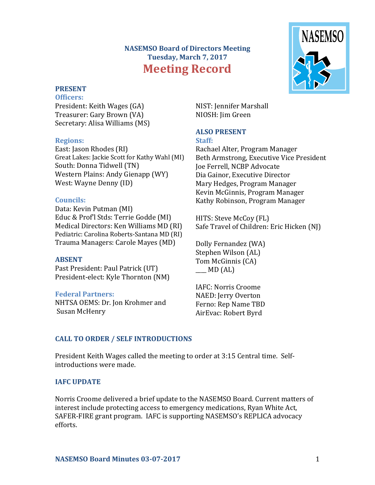# **NASEMSO Board of Directors Meeting Tuesday, March 7, 2017 Meeting Record**



# **PRESENT**

**Officers:** President: Keith Wages (GA) Treasurer: Gary Brown (VA) Secretary: Alisa Williams (MS)

# **Regions:**

East: Jason Rhodes (RI) Great Lakes: Jackie Scott for Kathy Wahl (MI) South: Donna Tidwell (TN) Western Plains: Andy Gienapp (WY) West: Wayne Denny (ID)

# **Councils:**

Data: Kevin Putman (MI) Educ & Prof'l Stds: Terrie Godde (MI) Medical Directors: Ken Williams MD (RI) Pediatric: Carolina Roberts-Santana MD (RI) Trauma Managers: Carole Mayes (MD)

# **ABSENT**

Past President: Paul Patrick (UT) President-elect: Kyle Thornton (NM)

# **Federal Partners:**

NHTSA OEMS: Dr. Jon Krohmer and Susan McHenry

NIST: Jennifer Marshall NIOSH: Jim Green

# **ALSO PRESENT**

#### **Staff:**

Rachael Alter, Program Manager Beth Armstrong, Executive Vice President Joe Ferrell, NCBP Advocate Dia Gainor, Executive Director Mary Hedges, Program Manager Kevin McGinnis, Program Manager Kathy Robinson, Program Manager

HITS: Steve McCoy (FL) Safe Travel of Children: Eric Hicken (NJ)

Dolly Fernandez (WA) Stephen Wilson (AL) Tom McGinnis (CA)  $\angle$  MD (AL)

IAFC: Norris Croome NAED: Jerry Overton Ferno: Rep Name TBD AirEvac: Robert Byrd

# **CALL TO ORDER / SELF INTRODUCTIONS**

President Keith Wages called the meeting to order at 3:15 Central time. Selfintroductions were made.

# **IAFC UPDATE**

Norris Croome delivered a brief update to the NASEMSO Board. Current matters of interest include protecting access to emergency medications, Ryan White Act, SAFER-FIRE grant program. IAFC is supporting NASEMSO's REPLICA advocacy efforts.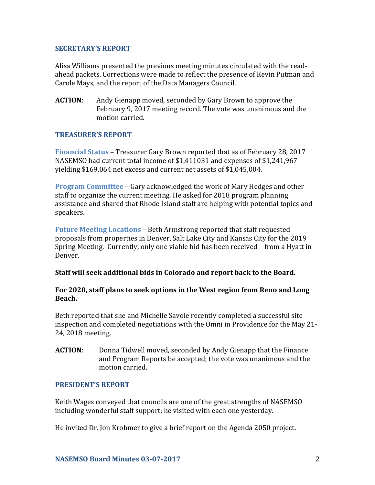#### **SECRETARY'S REPORT**

Alisa Williams presented the previous meeting minutes circulated with the readahead packets. Corrections were made to reflect the presence of Kevin Putman and Carole Mays, and the report of the Data Managers Council.

**ACTION**: Andy Gienapp moved, seconded by Gary Brown to approve the February 9, 2017 meeting record. The vote was unanimous and the motion carried.

# **TREASURER'S REPORT**

**Financial Status** – Treasurer Gary Brown reported that as of February 28, 2017 NASEMSO had current total income of \$1,411031 and expenses of \$1,241,967 yielding \$169,064 net excess and current net assets of \$1,045,004.

**Program Committee** – Gary acknowledged the work of Mary Hedges and other staff to organize the current meeting. He asked for 2018 program planning assistance and shared that Rhode Island staff are helping with potential topics and speakers.

**Future Meeting Locations** – Beth Armstrong reported that staff requested proposals from properties in Denver, Salt Lake City and Kansas City for the 2019 Spring Meeting. Currently, only one viable bid has been received – from a Hyatt in Denver.

# **Staff will seek additional bids in Colorado and report back to the Board.**

#### **For 2020, staff plans to seek options in the West region from Reno and Long Beach.**

Beth reported that she and Michelle Savoie recently completed a successful site inspection and completed negotiations with the Omni in Providence for the May 21- 24, 2018 meeting.

**ACTION**: Donna Tidwell moved, seconded by Andy Gienapp that the Finance and Program Reports be accepted; the vote was unanimous and the motion carried.

#### **PRESIDENT'S REPORT**

Keith Wages conveyed that councils are one of the great strengths of NASEMSO including wonderful staff support; he visited with each one yesterday.

He invited Dr. Jon Krohmer to give a brief report on the Agenda 2050 project.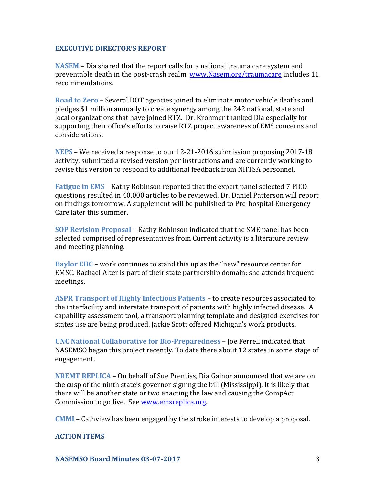#### **EXECUTIVE DIRECTOR'S REPORT**

**NASEM** – Dia shared that the report calls for a national trauma care system and preventable death in the post-crash realm. [www.Nasem.org/traumacare](http://www.nasem.org/traumacare) includes 11 recommendations.

**Road to Zero** – Several DOT agencies joined to eliminate motor vehicle deaths and pledges \$1 million annually to create synergy among the 242 national, state and local organizations that have joined RTZ. Dr. Krohmer thanked Dia especially for supporting their office's efforts to raise RTZ project awareness of EMS concerns and considerations.

**NEPS** – We received a response to our 12-21-2016 submission proposing 2017-18 activity, submitted a revised version per instructions and are currently working to revise this version to respond to additional feedback from NHTSA personnel.

**Fatigue in EMS** – Kathy Robinson reported that the expert panel selected 7 PICO questions resulted in 40,000 articles to be reviewed. Dr. Daniel Patterson will report on findings tomorrow. A supplement will be published to Pre-hospital Emergency Care later this summer.

**SOP Revision Proposal** – Kathy Robinson indicated that the SME panel has been selected comprised of representatives from Current activity is a literature review and meeting planning.

**Baylor EIIC** – work continues to stand this up as the "new" resource center for EMSC. Rachael Alter is part of their state partnership domain; she attends frequent meetings.

**ASPR Transport of Highly Infectious Patients** – to create resources associated to the interfacility and interstate transport of patients with highly infected disease. A capability assessment tool, a transport planning template and designed exercises for states use are being produced. Jackie Scott offered Michigan's work products.

**UNC National Collaborative for Bio-Preparedness** – Joe Ferrell indicated that NASEMSO began this project recently. To date there about 12 states in some stage of engagement.

**NREMT REPLICA** – On behalf of Sue Prentiss, Dia Gainor announced that we are on the cusp of the ninth state's governor signing the bill (Mississippi). It is likely that there will be another state or two enacting the law and causing the CompAct Commission to go live. See [www.emsreplica.org.](http://www.emsreplica.org/)

**CMMI** – Cathview has been engaged by the stroke interests to develop a proposal.

#### **ACTION ITEMS**

**NASEMSO Board Minutes 03-07-2017** 3